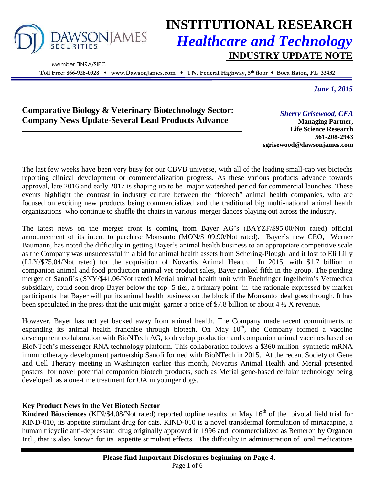

Member FINRA/SIPC

# **INSTITUTIONAL RESEARCH** *Healthcare and Technology* **INDUSTRY UPDATE NOTE**

**Toll Free: 866-928-0928 www.DawsonJames.com 1 N. Federal Highway, 5th floor Boca Raton, FL 33432**

*June 1, 2015*

## **Comparative Biology & Veterinary Biotechnology Sector: Company News Update-Several Lead Products Advance**

*Sherry Grisewood, CFA*

**Managing Partner, Life Science Research 561-208-2943 sgrisewood@dawsonjames.com**

The last few weeks have been very busy for our CBVB universe, with all of the leading small-cap vet biotechs reporting clinical development or commercialization progress. As these various products advance towards approval, late 2016 and early 2017 is shaping up to be major watershed period for commercial launches. These events highlight the contrast in industry culture between the "biotech" animal health companies, who are focused on exciting new products being commercialized and the traditional big multi-national animal health organizations who continue to shuffle the chairs in various merger dances playing out across the industry.

The latest news on the merger front is coming from Bayer AG's (BAYZF/\$95.00/Not rated) official announcement of its intent to purchase Monsanto (MON/\$109.90/Not rated). Bayer's new CEO, Werner Baumann, has noted the difficulty in getting Bayer's animal health business to an appropriate competitive scale as the Company was unsuccessful in a bid for animal health assets from Schering-Plough and it lost to Eli Lilly (LLY/\$75.04/Not rated) for the acquisition of Novartis Animal Health. In 2015, with \$1.7 billion in companion animal and food production animal vet product sales, Bayer ranked fifth in the group. The pending merger of Sanofi's (SNY/\$41.06/Not rated) Merial animal health unit with Boehringer Ingelheim's Vetmedica subsidiary, could soon drop Bayer below the top 5 tier, a primary point in the rationale expressed by market participants that Bayer will put its animal health business on the block if the Monsanto deal goes through. It has been speculated in the press that the unit might garner a price of \$7.8 billion or about 4 ½ X revenue.

However, Bayer has not yet backed away from animal health. The Company made recent commitments to expanding its animal health franchise through biotech. On May  $10<sup>th</sup>$ , the Company formed a vaccine development collaboration with BioNTech AG, to develop production and companion animal vaccines based on BioNTech's messenger RNA technology platform. This collaboration follows a \$360 million synthetic mRNA immunotherapy development partnership Sanofi formed with BioNTech in 2015. At the recent Society of Gene and Cell Therapy meeting in Washington earlier this month, Novartis Animal Health and Merial presented posters for novel potential companion biotech products, such as Merial gene-based cellular technology being developed as a one-time treatment for OA in younger dogs.

## **Key Product News in the Vet Biotech Sector**

**Kindred Biosciences** (KIN/\$4.08/Not rated) reported topline results on May  $16<sup>th</sup>$  of the pivotal field trial for KIND-010, its appetite stimulant drug for cats. KIND-010 is a novel transdermal formulation of mirtazapine, a human tricyclic anti-depressant drug originally approved in 1996 and commercialized as Remeron by Organon Intl., that is also known for its appetite stimulant effects. The difficulty in administration of oral medications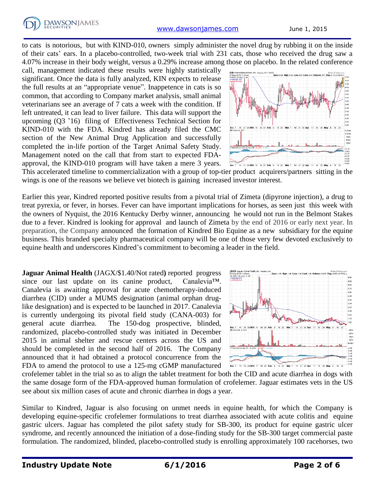to cats is notorious, but with KIND-010, owners simply administer the novel drug by rubbing it on the inside of their cats' ears. In a placebo-controlled, two-week trial with 231 cats, those who received the drug saw a 4.07% increase in their body weight, versus a 0.29% increase among those on placebo. In the related conference

call, management indicated these results were highly statistically significant. Once the data is fully analyzed, KIN expects to release the full results at an "appropriate venue". Inappetence in cats is so common, that according to Company market analysis, small animal veterinarians see an average of 7 cats a week with the condition. If left untreated, it can lead to liver failure. This data will support the upcoming (Q3 '16) filing of Effectiveness Technical Section for KIND-010 with the FDA. Kindred has already filed the CMC section of the New Animal Drug Application and successfully completed the in-life portion of the Target Animal Safety Study. Management noted on the call that from start to expected FDAapproval, the KIND-010 program will have taken a mere 3 years.



This accelerated timeline to commercialization with a group of top-tier product acquirers/partners sitting in the wings is one of the reasons we believe vet biotech is gaining increased investor interest.

Earlier this year, Kindred reported positive results from a pivotal trial of Zimeta (dipyrone injection), a drug to treat pyrexia, or fever, in horses. Fever can have important implications for horses, as seen just this week with the owners of Nyquist, the 2016 Kentucky Derby winner, announcing he would not run in the Belmont Stakes due to a fever. Kindred is looking for approval and launch of Zimeta by the end of 2016 or early next year. In preparation, the Company announced the formation of Kindred Bio Equine as a new subsidiary for the equine business. This branded specialty pharmaceutical company will be one of those very few devoted exclusively to equine health and underscores Kindred's commitment to becoming a leader in the field.

**Jaguar Animal Health** (JAGX/\$1.40/Not rated**)** reported progress since our last update on its canine product, Canalevia™. Canalevia is awaiting approval for acute chemotherapy-induced diarrhea (CID) under a MUMS designation (animal orphan druglike designation) and is expected to be launched in 2017. Canalevia is currently undergoing its pivotal field study (CANA-003) for general acute diarrhea. The 150-dog prospective, blinded, randomized, placebo-controlled study was initiated in December 2015 in animal shelter and rescue centers across the US and should be completed in the second half of 2016. The Company announced that it had obtained a protocol concurrence from the FDA to amend the protocol to use a 125-mg cGMP manufactured



crofelemer tablet in the trial so as to align the tablet treatment for both the CID and acute diarrhea in dogs with the same dosage form of the FDA-approved human formulation of crofelemer. Jaguar estimates vets in the US see about six million cases of acute and chronic diarrhea in dogs a year.

Similar to Kindred, Jaguar is also focusing on unmet needs in equine health, for which the Company is developing equine-specific crofelemer formulations to treat diarrhea associated with acute colitis and equine gastric ulcers. Jaguar has completed the pilot safety study for SB-300, its product for equine gastric ulcer syndrome, and recently announced the initiation of a dose-finding study for the SB-300 target commercial paste formulation. The randomized, blinded, placebo-controlled study is enrolling approximately 100 racehorses, two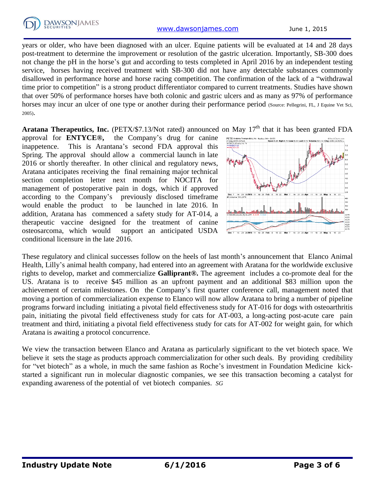

years or older, who have been diagnosed with an ulcer. Equine patients will be evaluated at 14 and 28 days post-treatment to determine the improvement or resolution of the gastric ulceration. Importantly, SB-300 does not change the pH in the horse's gut and according to tests completed in April 2016 by an independent testing service, horses having received treatment with SB-300 did not have any detectable substances commonly disallowed in performance horse and horse racing competition. The confirmation of the lack of a "withdrawal time prior to competition" is a strong product differentiator compared to current treatments. Studies have shown that over 50% of performance horses have both colonic and gastric ulcers and as many as 97% of performance horses may incur an ulcer of one type or another during their performance period (Source: Pellegrini, FL, J Equine Vet Sci, 2005).

Aratana Therapeutics, Inc. (PETX/\$7.13/Not rated) announced on May 17<sup>th</sup> that it has been granted FDA

approval for **ENTYCE®,** the Company's drug for canine inappetence. This is Arantana's second FDA approval this Spring. The approval should allow a commercial launch in late 2016 or shortly thereafter. In other clinical and regulatory news, Aratana anticipates receiving the final remaining major technical section completion letter next month for NOCITA for management of postoperative pain in dogs, which if approved according to the Company's previously disclosed timeframe would enable the product to be launched in late 2016. In addition, Aratana has commenced a safety study for AT-014, a therapeutic vaccine designed for the treatment of canine osteosarcoma, which would support an anticipated USDA conditional licensure in the late 2016.



These regulatory and clinical successes follow on the heels of last month's announcement that Elanco Animal Health, Lilly's animal health company, had entered into an agreement with Aratana for the worldwide exclusive rights to develop, market and commercialize **Galliprant®.** The agreement includes a co-promote deal for the US. Aratana is to receive \$45 million as an upfront payment and an additional \$83 million upon the achievement of certain milestones. On the Company's first quarter conference call, management noted that moving a portion of commercialization expense to Elanco will now allow Aratana to bring a number of pipeline programs forward including initiating a pivotal field effectiveness study for AT-016 for dogs with osteoarthritis pain, initiating the pivotal field effectiveness study for cats for AT-003, a long-acting post-acute care pain treatment and third, initiating a pivotal field effectiveness study for cats for AT-002 for weight gain, for which Aratana is awaiting a protocol concurrence.

We view the transaction between Elanco and Aratana as particularly significant to the vet biotech space. We believe it sets the stage as products approach commercialization for other such deals. By providing credibility for "vet biotech" as a whole, in much the same fashion as Roche's investment in Foundation Medicine kickstarted a significant run in molecular diagnostic companies, we see this transaction becoming a catalyst for expanding awareness of the potential of vet biotech companies. *SG*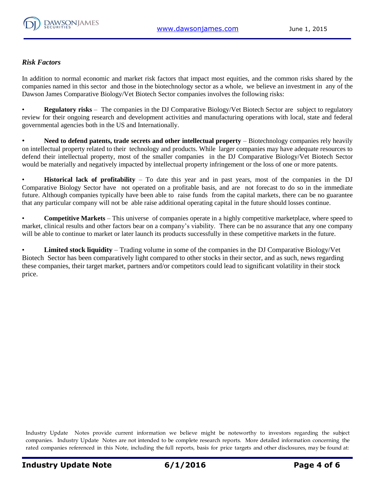

### *Risk Factors*

In addition to normal economic and market risk factors that impact most equities, and the common risks shared by the companies named in this sector and those in the biotechnology sector as a whole, we believe an investment in any of the Dawson James Comparative Biology/Vet Biotech Sector companies involves the following risks:

• **Regulatory risks** – The companies in the DJ Comparative Biology/Vet Biotech Sector are subject to regulatory review for their ongoing research and development activities and manufacturing operations with local, state and federal governmental agencies both in the US and Internationally.

• **Need to defend patents, trade secrets and other intellectual property** – Biotechnology companies rely heavily on intellectual property related to their technology and products. While larger companies may have adequate resources to defend their intellectual property, most of the smaller companies in the DJ Comparative Biology/Vet Biotech Sector would be materially and negatively impacted by intellectual property infringement or the loss of one or more patents.

**Historical lack of profitability** – To date this year and in past years, most of the companies in the DJ Comparative Biology Sector have not operated on a profitable basis, and are not forecast to do so in the immediate future. Although companies typically have been able to raise funds from the capital markets, there can be no guarantee that any particular company will not be able raise additional operating capital in the future should losses continue.

• **Competitive Markets** – This universe of companies operate in a highly competitive marketplace, where speed to market, clinical results and other factors bear on a company's viability. There can be no assurance that any one company will be able to continue to market or later launch its products successfully in these competitive markets in the future.

• **Limited stock liquidity** – Trading volume in some of the companies in the DJ Comparative Biology/Vet Biotech Sector has been comparatively light compared to other stocks in their sector, and as such, news regarding these companies, their target market, partners and/or competitors could lead to significant volatility in their stock price.

Industry Update Notes provide current information we believe might be noteworthy to investors regarding the subject companies. Industry Update Notes are not intended to be complete research reports. More detailed information concerning the rated companies referenced in this Note, including the full reports, basis for price targets and other disclosures, may be found at: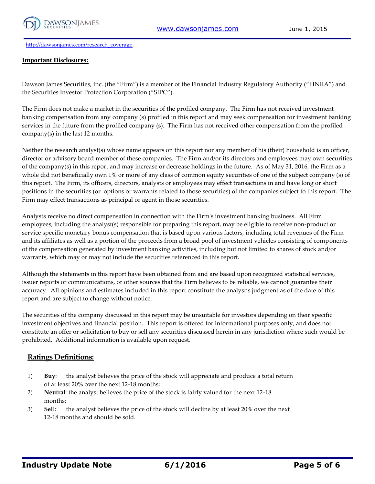

[http://dawsonjames.com/research\\_coverage.](http://dawsonjames.com/research_coverage)

#### **Important Disclosures:**

Dawson James Securities, Inc. (the "Firm") is a member of the Financial Industry Regulatory Authority ("FINRA") and the Securities Investor Protection Corporation ("SIPC").

The Firm does not make a market in the securities of the profiled company. The Firm has not received investment banking compensation from any company (s) profiled in this report and may seek compensation for investment banking services in the future from the profiled company (s). The Firm has not received other compensation from the profiled company(s) in the last 12 months.

Neither the research analyst(s) whose name appears on this report nor any member of his (their) household is an officer, director or advisory board member of these companies. The Firm and/or its directors and employees may own securities of the company(s) in this report and may increase or decrease holdings in the future. As of May 31, 2016, the Firm as a whole did not beneficially own 1% or more of any class of common equity securities of one of the subject company (s) of this report. The Firm, its officers, directors, analysts or employees may effect transactions in and have long or short positions in the securities (or options or warrants related to those securities) of the companies subject to this report. The Firm may effect transactions as principal or agent in those securities.

Analysts receive no direct compensation in connection with the Firm's investment banking business. All Firm employees, including the analyst(s) responsible for preparing this report, may be eligible to receive non-product or service specific monetary bonus compensation that is based upon various factors, including total revenues of the Firm and its affiliates as well as a portion of the proceeds from a broad pool of investment vehicles consisting of components of the compensation generated by investment banking activities, including but not limited to shares of stock and/or warrants, which may or may not include the securities referenced in this report.

Although the statements in this report have been obtained from and are based upon recognized statistical services, issuer reports or communications, or other sources that the Firm believes to be reliable, we cannot guarantee their accuracy. All opinions and estimates included in this report constitute the analyst's judgment as of the date of this report and are subject to change without notice.

The securities of the company discussed in this report may be unsuitable for investors depending on their specific investment objectives and financial position. This report is offered for informational purposes only, and does not constitute an offer or solicitation to buy or sell any securities discussed herein in any jurisdiction where such would be prohibited. Additional information is available upon request.

#### **Ratings Definitions:**

- 1) **Buy**: the analyst believes the price of the stock will appreciate and produce a total return of at least 20% over the next 12-18 months;
- 2) **Neutra**l: the analyst believes the price of the stock is fairly valued for the next 12-18 months;
- 3) **Sel**l: the analyst believes the price of the stock will decline by at least 20% over the next 12-18 months and should be sold.